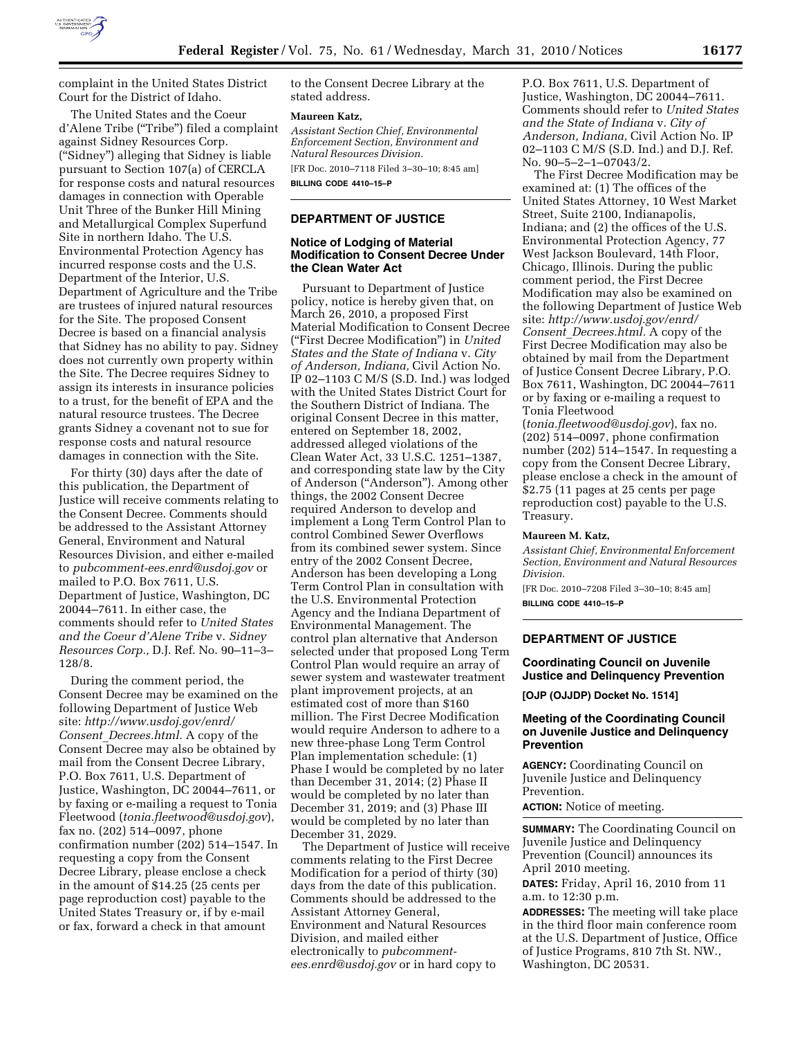

complaint in the United States District Court for the District of Idaho.

The United States and the Coeur d'Alene Tribe (''Tribe'') filed a complaint against Sidney Resources Corp. (''Sidney'') alleging that Sidney is liable pursuant to Section 107(a) of CERCLA for response costs and natural resources damages in connection with Operable Unit Three of the Bunker Hill Mining and Metallurgical Complex Superfund Site in northern Idaho. The U.S. Environmental Protection Agency has incurred response costs and the U.S. Department of the Interior, U.S. Department of Agriculture and the Tribe are trustees of injured natural resources for the Site. The proposed Consent Decree is based on a financial analysis that Sidney has no ability to pay. Sidney does not currently own property within the Site. The Decree requires Sidney to assign its interests in insurance policies to a trust, for the benefit of EPA and the natural resource trustees. The Decree grants Sidney a covenant not to sue for response costs and natural resource damages in connection with the Site.

For thirty (30) days after the date of this publication, the Department of Justice will receive comments relating to the Consent Decree. Comments should be addressed to the Assistant Attorney General, Environment and Natural Resources Division, and either e-mailed to *pubcomment-ees.enrd@usdoj.gov* or mailed to P.O. Box 7611, U.S. Department of Justice, Washington, DC 20044–7611. In either case, the comments should refer to *United States and the Coeur d'Alene Tribe* v. *Sidney Resources Corp.,* D.J. Ref. No. 90–11–3– 128/8.

During the comment period, the Consent Decree may be examined on the following Department of Justice Web site: *http://www.usdoj.gov/enrd/ Consent*\_*Decrees.html.* A copy of the Consent Decree may also be obtained by mail from the Consent Decree Library, P.O. Box 7611, U.S. Department of Justice, Washington, DC 20044–7611, or by faxing or e-mailing a request to Tonia Fleetwood (*tonia.fleetwood@usdoj.gov*), fax no. (202) 514–0097, phone confirmation number (202) 514–1547. In requesting a copy from the Consent Decree Library, please enclose a check in the amount of \$14.25 (25 cents per page reproduction cost) payable to the United States Treasury or, if by e-mail or fax, forward a check in that amount

to the Consent Decree Library at the stated address.

#### **Maureen Katz,**

*Assistant Section Chief, Environmental Enforcement Section, Environment and Natural Resources Division.* 

[FR Doc. 2010–7118 Filed 3–30–10; 8:45 am] **BILLING CODE 4410–15–P** 

### **DEPARTMENT OF JUSTICE**

### **Notice of Lodging of Material Modification to Consent Decree Under the Clean Water Act**

Pursuant to Department of Justice policy, notice is hereby given that, on March 26, 2010, a proposed First Material Modification to Consent Decree (''First Decree Modification'') in *United States and the State of Indiana* v. *City of Anderson, Indiana,* Civil Action No. IP 02–1103 C M/S (S.D. Ind.) was lodged with the United States District Court for the Southern District of Indiana. The original Consent Decree in this matter, entered on September 18, 2002, addressed alleged violations of the Clean Water Act, 33 U.S.C. 1251–1387, and corresponding state law by the City of Anderson (''Anderson''). Among other things, the 2002 Consent Decree required Anderson to develop and implement a Long Term Control Plan to control Combined Sewer Overflows from its combined sewer system. Since entry of the 2002 Consent Decree, Anderson has been developing a Long Term Control Plan in consultation with the U.S. Environmental Protection Agency and the Indiana Department of Environmental Management. The control plan alternative that Anderson selected under that proposed Long Term Control Plan would require an array of sewer system and wastewater treatment plant improvement projects, at an estimated cost of more than \$160 million. The First Decree Modification would require Anderson to adhere to a new three-phase Long Term Control Plan implementation schedule: (1) Phase I would be completed by no later than December 31, 2014; (2) Phase II would be completed by no later than December 31, 2019; and (3) Phase III would be completed by no later than December 31, 2029.

The Department of Justice will receive comments relating to the First Decree Modification for a period of thirty (30) days from the date of this publication. Comments should be addressed to the Assistant Attorney General, Environment and Natural Resources Division, and mailed either electronically to *pubcommentees.enrd@usdoj.gov* or in hard copy to

P.O. Box 7611, U.S. Department of Justice, Washington, DC 20044–7611. Comments should refer to *United States and the State of Indiana* v. *City of Anderson, Indiana,* Civil Action No. IP 02–1103 C M/S (S.D. Ind.) and D.J. Ref. No. 90–5–2–1–07043/2.

The First Decree Modification may be examined at: (1) The offices of the United States Attorney, 10 West Market Street, Suite 2100, Indianapolis, Indiana; and (2) the offices of the U.S. Environmental Protection Agency, 77 West Jackson Boulevard, 14th Floor, Chicago, Illinois. During the public comment period, the First Decree Modification may also be examined on the following Department of Justice Web site: *http://www.usdoj.gov/enrd/ Consent*\_*Decrees.html.* A copy of the First Decree Modification may also be obtained by mail from the Department of Justice Consent Decree Library, P.O. Box 7611, Washington, DC 20044–7611 or by faxing or e-mailing a request to Tonia Fleetwood

(*tonia.fleetwood@usdoj.gov*), fax no. (202) 514–0097, phone confirmation number (202) 514–1547. In requesting a copy from the Consent Decree Library, please enclose a check in the amount of \$2.75 (11 pages at 25 cents per page reproduction cost) payable to the U.S. Treasury.

#### **Maureen M. Katz,**

*Assistant Chief, Environmental Enforcement Section, Environment and Natural Resources Division.* 

[FR Doc. 2010–7208 Filed 3–30–10; 8:45 am] **BILLING CODE 4410–15–P** 

# **DEPARTMENT OF JUSTICE**

**Coordinating Council on Juvenile Justice and Delinquency Prevention** 

**[OJP (OJJDP) Docket No. 1514]** 

### **Meeting of the Coordinating Council on Juvenile Justice and Delinquency Prevention**

**AGENCY:** Coordinating Council on Juvenile Justice and Delinquency Prevention.

**ACTION:** Notice of meeting.

**SUMMARY:** The Coordinating Council on Juvenile Justice and Delinquency Prevention (Council) announces its April 2010 meeting.

**DATES:** Friday, April 16, 2010 from 11 a.m. to 12:30 p.m.

**ADDRESSES:** The meeting will take place in the third floor main conference room at the U.S. Department of Justice, Office of Justice Programs, 810 7th St. NW., Washington, DC 20531.